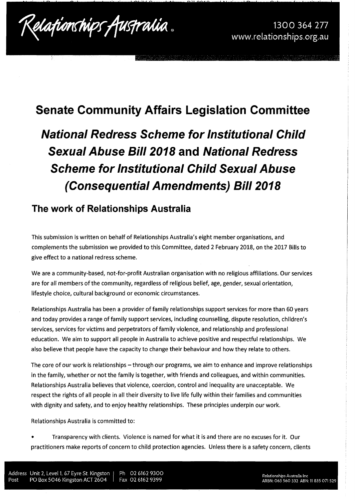National Redress Scheme for Institutional Child Sexual Abuse Bill 2018 and National Redress Scheme for Institutional Child Sexual Abuse (Consequential Amendments) Bill 2018 Submission 15

## **Senate Community Affairs Legislation Committee**

**National Redress Scheme for Institutional Child Sexual Abuse Bill 2018 and National Redress Scheme for Institutional Child Sexual Abuse (Consequential Amendments) Bill 2018** 

### **The work of Relationships Australia**

This submission is written on behalf of Relationships Australia's eight member organisations, and complements the submission we provided to this Committee, dated 2 February 2018, on the 2017 Bills to give effect to a national redress scheme.

We are a community-based, not-for-profit Australian organisation with no religious affiliations. Our services are for all members of the community, regardless of religious belief, age, gender, sexual orientation, lifestyle choice, cultural background or economic circumstances.

Relationships Australia has been a provider of family relationships support services for more than 60 years and today provides a range of family support services, including counselling, dispute resolution, children's services, services for victims and perpetrators of family violence, and relationship and professiona I education. We aim to support all people in Australia to achieve positive and respectful relationships. We also believe that people have the capacity to change their behaviour and how they relate to others.

The core of our work is relationships – through our programs, we aim to enhance and improve relationships in the family, whether or not the family is together, with friends and colleagues, and within communities. Relationships Australia believes that violence, coercion, control and inequality are unacceptable. We respect the rights of all people in all their diversity to live life fully within their families and communities with dignity and safety, and to enjoy healthy relationships. These principles underpin our work.

Relationships Australia is committed to:

• Transparency with clients. Violence is named for what it is and there are no excuses for it. Our practitioners make reports of concern to child protection agencies. Unless there is a safety concern, clients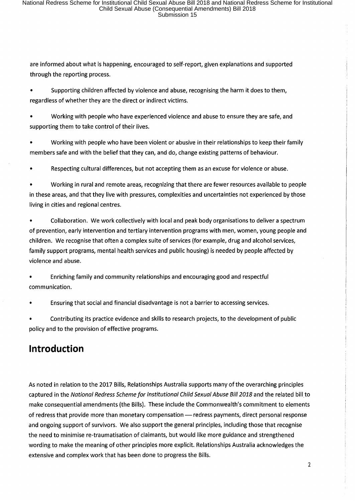are informed about what is happening, encouraged to self-report, given explanations and supported through the reporting process.

Supporting children affected by violence and abuse, recognising the harm it does to them, regardless of whether they are the direct or indirect victims.

• Working with people who have experienced violence and abuse to ensure they are safe, and supporting them to take control of their lives.

• Working with people who have been violent or abusive in their relationships to keep their family members safe and with the belief that they can, and do, change existing patterns of behaviour.

Respecting cultural differences, but not accepting them as an excuse for violence or abuse.

• Working in rural and remote areas, recognizing that there are fewer resources available to people in these areas, and that they live with pressures, complexities and uncertainties not experienced by those living in cities and regional centres.

• Collaboration. We work collectively with local and peak body organisations to deliver a spectrum of prevention, early intervention and tertiary intervention programs with men, women, young people and children. We recognise that often a complex suite of services (for example, drug and alcohol services, family support programs, mental health services and public housing) is needed by people affected by violence and abuse.

• Enriching family and community relationships and encouraging good and respectful communication.

• Ensuring that social and financial disadvantage is not a barrier to accessing services.

• Contributing its practice evidence and skills to research projects, to the development of public policy and to the provision of effective programs.

### **Introduction**

As noted in relation to the 2017 Bills, Relationships Australia supports many of the overarching principles captured in the National Redress Scheme for Institutional Child Sexual Abuse Bill 2018 and the related bill to make consequential amendments (the Bills). These include the Commonwealth's commitment to elements of redress that provide more than monetary compensation - redress payments, direct personal response and ongoing support of survivors. We also support the general principles, including those that recognise the need to minimise re-traumatisation of claimants, but would like more guidance and strengthened wording to make the meaning of other principles more explicit. Relationships Australia acknowledges the extensive and complex work that has been done to progress the Bills.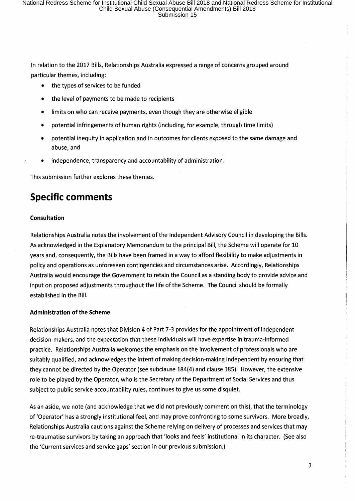In relation to the 2017 Bills, Relationships Australia expressed a range of concerns grouped around particular themes, including:

- the types of services to be funded
- the level of payments to be made to recipients
- limits on who can receive payments, even though they are otherwise eligible
- potential infringements of human rights (including, for example, through time limits)
- potential inequity in application and in outcomes for clients exposed to the same damage and abuse, and
- independence, transparency and accountability of administration.

This submission further explores these themes.

## **Specific comments**

#### **Consultation**

Relationships Australia notes the involvement of the Independent Advisory Council in developing the Bills. As acknowledged in the Explanatory Memorandum to the principal Bill, the Scheme will operate for 10 years and, consequently, the Bills have been framed in a way to afford flexibility to make adjustments in policy and operations as unforeseen contingencies and circumstances arise. Accordingly, Relationships Australia would encourage the Government to retain the Council as a standing body to provide advice and input on proposed adjustments throughout the life of the Scheme. The Council should be formally established in the Bill.

#### **Administration of the Scheme**

Relationships Australia notes that Division 4 of Part 7-3 provides for the appointment of independent decision-makers, and the expectation that these individuals will have expertise in trauma-informed practice. Relationships Australia welcomes the emphasis on the involvement of professionals who are suitably qualified, and acknowledges the intent of making decision-making independent by ensuring that they cannot be directed by the Operator (see subclause 184(4) and clause 185). However, the extensive role to be played by the Operator, who is the Secretary of the Department of Social Services and thus subject to public service accountability rules, continues to give us some disquiet.

As an aside, we note (and acknowledge that we did not previously comment on this), that the terminology of 'Operator' has a strongly institutional feel, and may prove confronting to some survivors. More broadly, Relationships Australia cautions against the Scheme relying on delivery of processes and services that may re-traumatise survivors by taking an approach that 'looks and feels' institutional in its character. (See also the 'Current services and service gaps' section in our previous submission.)

3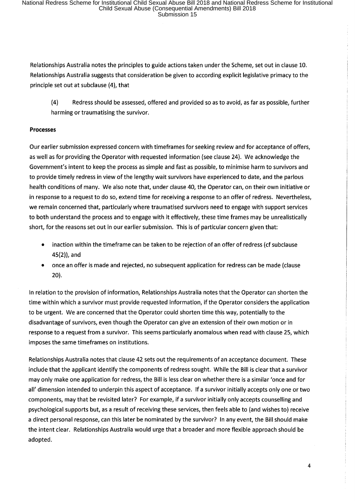Relationships Australia notes the principles to guide actions taken under the Scheme, set out in clause 10. Relationships Australia suggests that consideration be given to according explicit legislative primacy to the principle set out at subclause (4), that

(4) Redress should be assessed, offered and provided so as to avoid, as far as possible, further harming or traumatising the survivor.

#### **Processes**

Our earlier submission expressed concern with timeframes for seeking review and for acceptance of offers, as well as for providing the Operator with requested information (see clause 24). We acknowledge the Government's intent to keep the process as simple and fast as possible, to minimise harm to survivors and to provide timely redress in view of the lengthy wait survivors have experienced to date, and the parlous health conditions of many. We also note that, under clause 40, the Operator can, on their own initiative or in response to a request to do so, extend time for receiving a response to an offer of redress. Nevertheless, we remain concerned that, particularly where traumatised survivors need to engage with support services to both understand the process and to engage with it effectively, these time frames may be unrealistically short, for the reasons set out in our earlier submission. This is of particular concern given that:

- inaction within the timeframe can be taken to be rejection of an offer of redress (cf subclause 45(2)), and
- once an offer is made and rejected, no subsequent application for redress can be made (clause **20).**

In relation to the provision of information, Relationships Australia notes that the Operator can shorten the time within which a survivor must provide requested information, if the Operator considers the application to be urgent. We are concerned that the Operator could shorten time this way, potentially to the disadvantage of survivors, even though the Operator can give an extension of their own motion or in response to a request from a survivor. This seems particularly anomalous when read with clause 25, which imposes the same timeframes on institutions.

Relationships Australia notes that clause 42 sets out the requirements of an acceptance document. These include that the applicant identify the components of redress sought. While the Bill is clear that a survivor may only make one application for redress, the Bill is less clear on whether there is a similar 'once and for all' dimension intended to underpin this aspect of acceptance. If a survivor initially accepts only one or two components, may that be revisited later? For example, if a survivor initially only accepts counselling and psychological supports but, as a result of receiving these services, then feels able to (and wishes to) receive a direct personal response, can this later be nominated by the survivor? In any event, the Bill should make the intent clear. Relationships Australia would urge that a broader and more flexible approach should be adopted.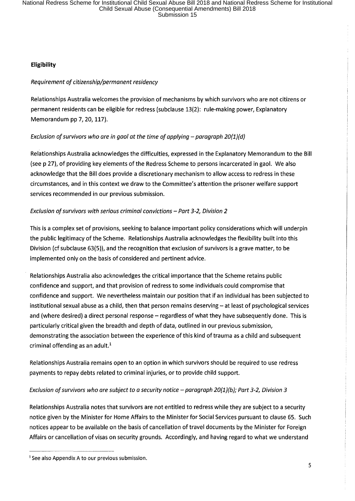#### **Eligibility**

#### Requirement of citizenship/permanent residency

Relationships Australia welcomes the provision of mechanisms by which survivors who are not citizens or permanent residents can be eligible for redress (subclause 13(2): rule-making power, Explanatory Memorandum pp 7, 20, 117).

#### Exclusion of survivors who are in gaol at the time of applying  $-$  paragraph 20(1)(d)

Relationships Australia acknowledges the difficulties, expressed in the Explanatory Memorandum to the Bill (see p 27), of providing key elements of the Redress Scheme to persons incarcerated in gaol. We also acknowledge that the Bill does provide a discretionary mechanism to allow access to redress in these circumstances, and in this context we draw to the Committee's attention the prisoner welfare support services recommended in our previous submission.

#### Exclusion of survivors with serious criminal convictions  $-$  Part 3-2, Division 2

This is a complex set of provisions, seeking to balance important policy considerations which will underpin the public legitimacy of the Scheme. Relationships Australia acknowledges the flexibility built into this Division (cf subclause 63(5)), and the recognition that exclusion of survivors is a grave matter, to be implemented only on the basis of considered and pertinent advice.

Relationships Australia also acknowledges the critical importance that the Scheme retains public confidence and support, and that provision of redress to some individuals could compromise that confidence and support. We nevertheless maintain our position that if an individual has been subjected to institutional sexual abuse as a child, then that person remains deserving  $-$  at least of psychological services and (where desired) a direct personal response - regardless of what they have subsequently done. This is particularly critical given the breadth and depth of data, outlined in our previous submission, demonstrating the association between the experience of this kind of trauma as a child and subsequent criminal offending as an adult. $<sup>1</sup>$ </sup>

Relationships Australia remains open to an option in which survivors should be required to use redress payments to repay debts related to criminal injuries, or to provide child support.

#### Exclusion of survivors who are subject to a security notice  $-$  paragraph 20(1)(b); Part 3-2, Division 3

Relationships Australia notes that survivors are not entitled to redress while they are subject to a security notice given by the Minister for Home Affairs to the Minister for Social Services pursuant to clause 65. Such notices appear to be available on the basis of cancellation of travel documents by the Minister for Foreign Affairs or cancellation of visas on security grounds. Accordingly, and having regard to what we understand

<sup>&</sup>lt;sup>1</sup> See also Appendix A to our previous submission.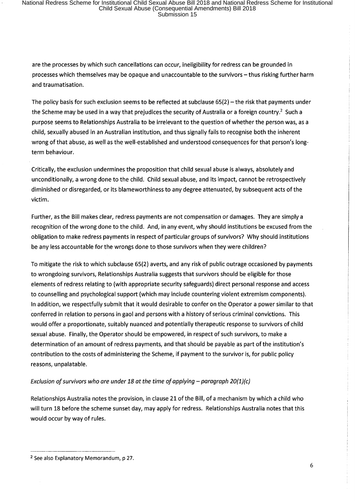are the processes by which such cancellations can occur, ineligibility for redress can be grounded in processes which themselves may be opaque and unaccountable to the survivors- thus risking further harm and traumatisation.

The policy basis for such exclusion seems to be reflected at subclause  $65(2)$  - the risk that payments under the Scheme may be used in a way that prejudices the security of Australia or a foreign country.<sup>2</sup> Such a purpose seems to Relationships Australia to be irrelevant to the question of whether the person was, as a child, sexually abused in an Australian institution, and thus signally fails to recognise both the inherent wrong of that abuse, as well as the well-established and understood consequences for that person's longterm behaviour.

Critically, the exclusion undermines the proposition that child sexual abuse is always, absolutely and unconditionally, a wrong done to the child. Child sexual abuse, and its impact, cannot be retrospectively diminished or disregarded, or its blameworthiness to any degree attenuated, by subsequent acts of the victim.

Further, as the Bill makes clear, redress payments are not compensation or damages. They are simply a recognition of the wrong done to the child. And, in any event, why should institutions be excused from the obligation to make redress payments in respect of particular groups of survivors? Why should institutions be any less accountable for the wrongs done to those survivors when they were children?

To mitigate the risk to which subclause 65(2) averts, and any risk of public outrage occasioned by payments to wrongdoing survivors, Relationships Australia suggests that survivors should be eligible for those elements of redress relating to (with appropriate security safeguards) direct personal response and access to counselling and psychological support (which may include countering violent extremism components). In addition, we respectfully submit that it would desirable to confer on the Operator a power similar to that conferred in relation to persons in gaol and persons with a history of serious criminal convictions. This would offer a proportionate, suitably nuanced and potentially therapeutic response to survivors of child sexual abuse. Finally, the Operator should be empowered, in respect of such survivors, to make a determination of an amount of redress payments, and that should be payable as part of the institution's contribution to the costs of administering the Scheme, if payment to the survivor is, for public policy reasons, unpalatable.

#### Exclusion of survivors who are under 18 at the time of applying  $-$  paragraph 20(1)(c)

Relationships Australia notes the provision, in clause 21 of the Bill, of a mechanism by which a child who will turn 18 before the scheme sunset day, may apply for redress. Relationships Australia notes that this would occur by way of rules.

<sup>----------</sup> 2 See also Explanatory Memorandum, p 27.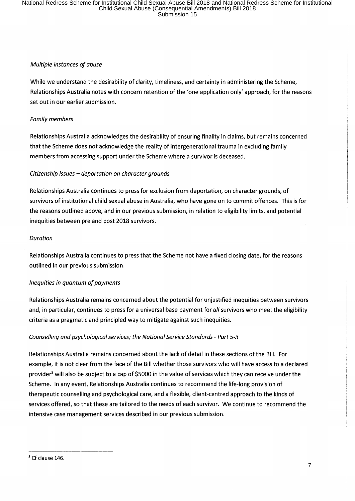#### Multiple instances of abuse

While we understand the desirability of clarity, timeliness, and certainty in administering the Scheme, Relationships Australia notes with concern retention of the 'one application only' approach, for the reasons set out in our earlier submission.

#### Family members

Relationships Australia acknowledges the desirability of ensuring finality in claims, but remains concerned that the Scheme does not acknowledge the reality of intergenerational trauma in excluding family members from accessing support under the Scheme where a survivor is deceased.

#### Citizenship issues - deportation on character grounds

Relationships Australia continues to press for exclusion from deportation, on character grounds, of survivors of institutional child sexual abuse in Australia, who have gone on to commit offences. This is for the reasons outlined above, and in our previous submission, in relation to eligibility limits, and potential inequities between pre and post 2018 survivors.

#### Duration

Relationships Australia continues to press that the Scheme not have a fixed closing date, for the reasons outlined in our previous submission.

#### Inequities in quantum of payments

Relationships Australia remains concerned about the potential for unjustified inequities between survivors and, in particular, continues to press for a universal base payment for all survivors who meet the eligibility criteria as a pragmatic and principled way to mitigate against such inequities.

#### Counselling and psychological services; the National Service Standards - Part 5-3

Relationships Australia remains concerned about the lack of detail in these sections of the Bill. For example, it is not clear from the face of the Bill whether those survivors who will have access to a declared provider<sup>3</sup> will also be subject to a cap of \$5000 in the value of services which they can receive under the Scheme. In any event, Relationships Australia continues to recommend the life-long provision of therapeutic counselling and psychological care, and a flexible, client-centred approach to the kinds of services offered, so that these are tailored to the needs of each survivor. We continue to recommend the intensive case management services described in our previous submission.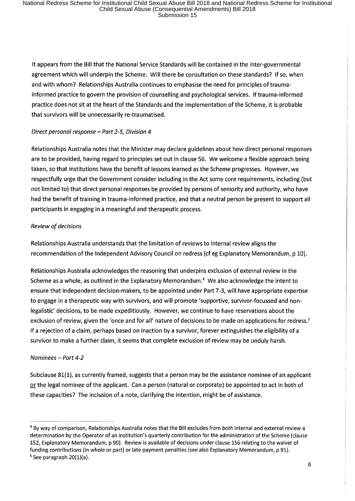It appears from the Bill that the National Service Standards will be contained in the inter-governmental agreement which will underpin the Scheme. Will there be consultation on these standards? If so, when and with whom? Relationships Australia continues to emphasise the need for principles of traumainformed practice to govern the provision of counselling and psychological services. If trauma-informed practice does not sit at the heart of the Standards and the implementation of the Scheme, it is probable that survivors will be unnecessarily re-traumatised.

#### Direct personal response  $-$  Part 2-5, Division 4

Relationships Australia notes that the Minister may declare guidelines about how direct personal responses are to be provided, having regard to principles set out in clause 56. We welcome a flexible approach being taken, so that institutions have the benefit of lessons learned as the Scheme progresses. However, we respectfully urge that the Government consider including in the Act some core requirements, including (but not limited to) that direct personal responses be provided by persons of seniority and authority, who have had the benefit of training in trauma-informed practice, and that a neutral person be present to support all participants in engaging in a meaningful and therapeutic process.

#### Review of decisions

Relationships Australia understands that the limitation of reviews to internal review aligns the recommendation of the Independent Advisory Council on redress (cf eg Explanatory Memorandum, p 10).

Relationships Australia acknowledges the reasoning that underpins exclusion of external review in the Scheme as a whole, as outlined in the Explanatory Memorandum.<sup>4</sup> We also acknowledge the intent to ensure that independent decision-makers, to be appointed under Part 7-3, will have appropriate expertise to engage in a therapeutic way with survivors, and will promote 'supportive, survivor-focussed and nonlegalistic' decisions, to be made expeditiously. However, we continue to have reservations about the exclusion of review, given the 'once and for all' nature of decisions to be made on applications for redress.<sup>5</sup> If a rejection of a claim, perhaps based on inaction by a survivor, forever extinguishes the eligibility of a survivor to make a further claim, it seems that complete exclusion of review may be unduly harsh.

#### Nominees - Part 4-2

Subclause 81(1), as currently framed, suggests that a person may be the assistance nominee of an applicant or the legal nominee of the applicant. Can a person (natural or corporate) be appointed to act in both of these capacities? The inclusion of a note, clarifying the intention, might be of assistance.

<sup>4</sup> By way of comparison, Relationships Australia notes that the Bill excludes from *both* internal and external review a determination by the Operator of an institution's quarterly contribution for the administration of the Scheme (clause 152, Explanatory Memorandum, p 90). Review is available of decisions under clause 156 relating to the waiver of funding contributions (in whole or part) or late payment penalties (see also Explanatory Memorandum, p 91).<br><sup>5</sup> See paragraph 20(1)(a).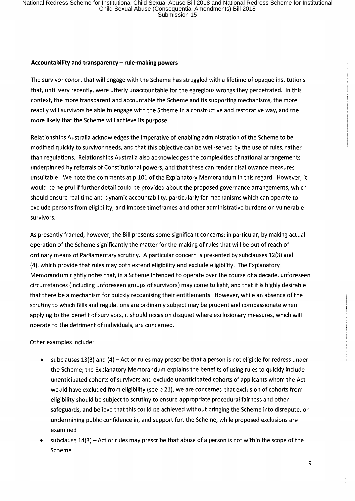#### **Accountability and transparency- rule-making powers**

The survivor cohort that will engage with the Scheme has struggled with a lifetime of opaque institutions that, until very recently, were utterly unaccountable for the egregious wrongs they perpetrated. In this context, the more transparent and accountable the Scheme and its supporting mechanisms, the more readily will survivors be able to engage with the Scheme in a constructive and restorative way, and the more likely that the Scheme will achieve its purpose.

Relationships Australia acknowledges the imperative of enabling administration of the Scheme to be modified quickly to survivor needs, and that this objective can be well-served by the use of rules, rather than regulations. Relationships Australia also acknowledges the complexities of national arrangements underpinned by referrals of Constitutional powers, and that these can render disallowance measures unsuitable. We note the comments at p 101 of the Explanatory Memorandum in this regard. However, it would be helpful if further detail could be provided about the proposed governance arrangements, which should ensure real time and dynamic accountability, particularly for mechanisms which can operate to exclude persons from eligibility, and impose timeframes and other administrative burdens on vulnerable survivors.

As presently framed, however, the Bill presents some significant concerns; in particular, by making actual operation of the Scheme significantly the matter for the making of rules that will be out of reach of ordinary means of Parliamentary scrutiny. A particular concern is presented by subclauses 12(3) and (4), which provide that rules may both extend eligibility and exclude eligibility. The Explanatory Memorandum rightly notes that, in a Scheme intended to operate over the course of a decade, unforeseen circumstances (including unforeseen groups of survivors) may come to light, and that it is highly desirable that there be a mechanism for quickly recognising their entitlements. However, while an absence of the scrutiny to which Bills and regulations are ordinarily subject may be prudent and compassionate when applying to the benefit of survivors, it should occasion disquiet where exclusionary measures, which will operate to the detriment of individuals, are concerned.

#### Other examples include:

- subclauses 13(3) and (4) Act or rules may prescribe that a person is not eligible for redress under the Scheme; the Explanatory Memorandum explains the benefits of using rules to quickly include unanticipated cohorts of survivors and exclude unanticipated cohorts of applicants whom the Act would have excluded from eligibility (see p 21), we are concerned that exclusion of cohorts from eligibility should be subject to scrutiny to ensure appropriate procedural fairness and other safeguards, and believe that this could be achieved without bringing the Scheme into disrepute, or undermining public confidence in, and support for, the Scheme, while proposed exclusions are examined
- subclause  $14(3)$  Act or rules may prescribe that abuse of a person is not within the scope of the Scheme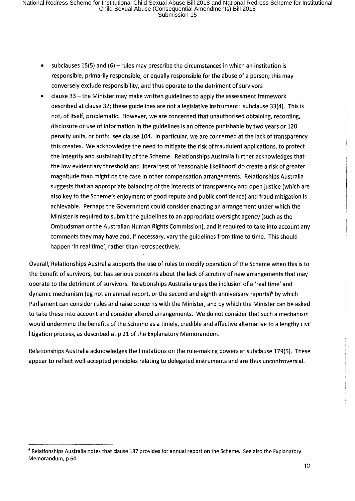- subclauses 15(5) and (6) rules may prescribe the circumstances in which an institution is responsible, primarily responsible, or equally responsible for the abuse of a person; this may conversely exclude responsibility, and thus operate to the detriment of survivors
- clause 33 the Minister may make written guidelines to apply the assessment framework described at clause 32; these guidelines are not a legislative instrument: subclause 33(4). This is not, of itself, problematic. However, we are concerned that unauthorised obtaining, recording, disclosure or use of information in the guidelines is an offence punishable by two years or 120 penalty units, or both: see clause 104. In particular, we are concerned at the lack of transparency this creates. We acknowledge the need to mitigate the risk of fraudulent applications, to protect the integrity and sustainability of the Scheme. Relationships Australia further acknowledges that the low evidentiary threshold and liberal test of 'reasonable likelihood' do create a risk of greater magnitude than might be the case in other compensation arrangements. Relationships Australia suggests that an appropriate balancing of the interests of transparency and open justice (which are also key to the Scheme's enjoyment of good repute and public confidence) and fraud mitigation is achievable. Perhaps the Government could consider enacting an arrangement under which the Minister is required to submit the guidelines to an appropriate oversight agency (such as the Ombudsman or the Australian Human Rights Commission), and is required to take into account any comments they may have and, if necessary, vary the guidelines from time to time. This should happen 'in real time', rather than retrospectively.

Overall, Relationships Australia supports the use of rules to modify operation of the Scheme when this is to the benefit of survivors, but has serious concerns about the lack of scrutiny of new arrangements that may operate to the detriment of survivors. Relationships Australia urges the inclusion of a 'real time' and dynamic mechanism (eg not an annual report, or the second and eighth anniversary reports)<sup>6</sup> by which Parliament can consider rules and raise concerns with the Minister, and by which the Minister can be asked to take these into account and consider altered arrangements. We do not consider that such a mechanism would undermine the benefits of the Scheme as a timely, credible and effective alternative to a lengthy civil litigation process, as described at p 21 of the Explanatory Memorandum.

Relationships Australia acknowledges the limitations on the rule-making powers at subclause 179(5). These appear to reflect well-accepted principles relating to delegated instruments and are thus uncontroversial.

<sup>&</sup>lt;sup>6</sup> Relationships Australia notes that clause 187 provides for annual report on the Scheme. See also the Explanatory Memorandum, p 64.